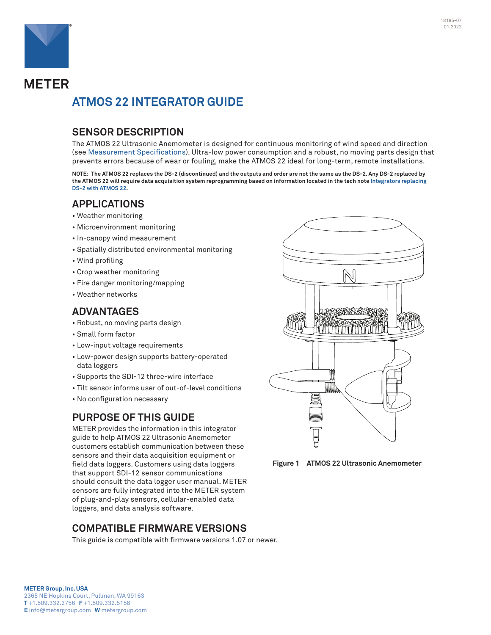

# **METER ATMOS 22 INTEGRATOR GUIDE**

# **SENSOR DESCRIPTION**

The ATMOS 22 Ultrasonic Anemometer is designed for continuous monitoring of wind speed and direction (see [Measurement Specifications\)](#page-1-0). Ultra-low power consumption and a robust, no moving parts design that prevents errors because of wear or fouling, make the ATMOS 22 ideal for long-term, remote installations.

**NOTE: The ATMOS 22 replaces the DS-2 (discontinued) and the outputs and order are not the same as the DS-2. Any DS-2 replaced by the ATMOS 22 will require data acquisition system reprogramming based on information located in the tech note [Integrators replacing](https://www.metergroup.com/environment/articles/tech-note-ds-2-to-atmos-22)  [DS-2 with ATMOS 22.](https://www.metergroup.com/environment/articles/tech-note-ds-2-to-atmos-22)** 

# **APPLICATIONS**

- Weather monitoring
- Microenvironment monitoring
- In-canopy wind measurement
- Spatially distributed environmental monitoring
- Wind profiling
- Crop weather monitoring
- Fire danger monitoring/mapping
- Weather networks

# **ADVANTAGES**

- Robust, no moving parts design
- Small form factor
- Low-input voltage requirements
- Low-power design supports battery-operated data loggers
- Supports the SDI-12 three-wire interface
- Tilt sensor informs user of out-of-level conditions
- No configuration necessary

# **PURPOSE OF THIS GUIDE**

METER provides the information in this integrator guide to help ATMOS 22 Ultrasonic Anemometer customers establish communication between these sensors and their data acquisition equipment or field data loggers. Customers using data loggers that support SDI-12 sensor communications should consult the data logger user manual. METER sensors are fully integrated into the METER system of plug-and-play sensors, cellular-enabled data loggers, and data analysis software.

# **COMPATIBLE FIRMWARE VERSIONS**

This guide is compatible with firmware versions 1.07 or newer.



**Figure 1 ATMOS 22 Ultrasonic Anemometer**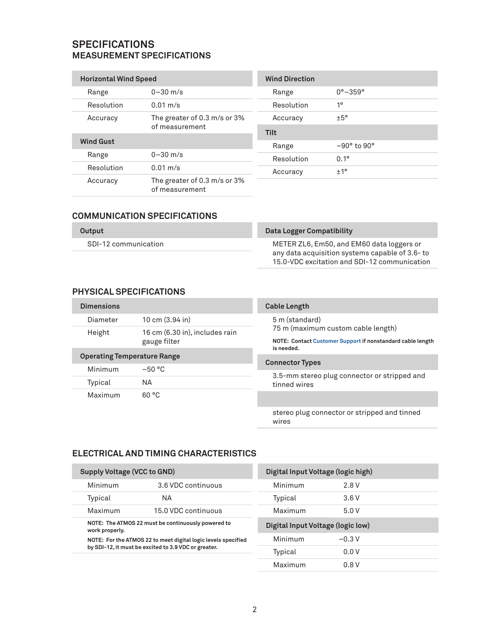## <span id="page-1-0"></span>**SPECIFICATIONS MEASUREMENT SPECIFICATIONS**

| <b>Horizontal Wind Speed</b> |                                                | <b>Wind Direction</b> |                           |
|------------------------------|------------------------------------------------|-----------------------|---------------------------|
| Range                        | $0 - 30$ m/s                                   | Range                 | $0^{\circ} - 359^{\circ}$ |
| Resolution                   | $0.01 \text{ m/s}$                             | Resolution            | 10                        |
| Accuracy                     | The greater of 0.3 m/s or 3%                   | Accuracy              | ±5°                       |
| of measurement               |                                                | <b>Tilt</b>           |                           |
| <b>Wind Gust</b>             |                                                | Range                 | $-90^\circ$ to $90^\circ$ |
| Range                        | $0 - 30$ m/s                                   | Resolution            | $0.1^{\circ}$             |
| Resolution                   | $0.01 \text{ m/s}$                             | Accuracy              | ±1°                       |
| Accuracy                     | The greater of 0.3 m/s or 3%<br>of measurement |                       |                           |

## **COMMUNICATION SPECIFICATIONS**

| Output |  |
|--------|--|
|        |  |

SDI-12 communication

### **Data Logger Compatibility**

METER ZL6, Em50, and EM60 data loggers or any data acquisition systems capable of 3.6- to 15.0-VDC excitation and SDI-12 communication

## **PHYSICAL SPECIFICATIONS**

| <b>Dimensions</b>                  |                                                | <b>Cable Length</b>                                                                                            |
|------------------------------------|------------------------------------------------|----------------------------------------------------------------------------------------------------------------|
| Diameter                           | $10 \text{ cm}$ (3.94 in)                      | 5 m (standard)                                                                                                 |
| Height                             | 16 cm (6.30 in), includes rain<br>gauge filter | 75 m (maximum custom cable length)<br>NOTE: Contact Customer Support if nonstandard cable length<br>is needed. |
| <b>Operating Temperature Range</b> |                                                | <b>Connector Types</b>                                                                                         |
| Minimum                            | $-50 °C$                                       |                                                                                                                |
| Typical                            | NА                                             | 3.5-mm stereo plug connector or stripped and<br>tinned wires                                                   |
| Maximum                            | 60 °C                                          |                                                                                                                |
|                                    |                                                | stereo plug connector or stripped and tinned<br>wires                                                          |

### **ELECTRICAL AND TIMING CHARACTERISTICS**

| <b>Supply Voltage (VCC to GND)</b>                                                                                                                                                            |                     | Digital Input Voltage (logic high) |         |  |
|-----------------------------------------------------------------------------------------------------------------------------------------------------------------------------------------------|---------------------|------------------------------------|---------|--|
| Minimum<br>3.6 VDC continuous                                                                                                                                                                 |                     | Minimum                            | 2.8V    |  |
| Typical                                                                                                                                                                                       | ΝA                  | Typical                            | 3.6V    |  |
| Maximum                                                                                                                                                                                       | 15.0 VDC continuous | Maximum                            | 5.0V    |  |
| NOTE: The ATMOS 22 must be continuously powered to<br>work properly.<br>NOTE: For the ATMOS 22 to meet digital logic levels specified<br>by SDI-12, it must be excited to 3.9 VDC or greater. |                     | Digital Input Voltage (logic low)  |         |  |
|                                                                                                                                                                                               |                     | Minimum                            | $-0.3V$ |  |
|                                                                                                                                                                                               |                     | Typical                            | 0.0V    |  |
|                                                                                                                                                                                               |                     | Maximum                            | 0.8V    |  |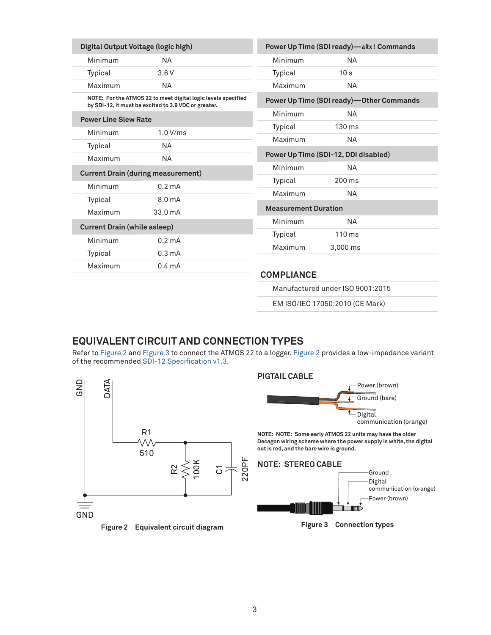| Digital Output Voltage (logic high)                                                                                   |                                           |                             | Power Up Time (SDI ready)—aRx! Commands  |  |
|-----------------------------------------------------------------------------------------------------------------------|-------------------------------------------|-----------------------------|------------------------------------------|--|
| Minimum                                                                                                               | NA.                                       | Minimum                     | <b>NA</b>                                |  |
| Typical                                                                                                               | 3.6V                                      | Typical                     | 10 <sub>s</sub>                          |  |
| Maximum                                                                                                               | NA.                                       | Maximum                     | <b>NA</b>                                |  |
| NOTE: For the ATMOS 22 to meet digital logic levels specified<br>by SDI-12, it must be excited to 3.9 VDC or greater. |                                           |                             | Power Up Time (SDI ready)-Other Commands |  |
| <b>Power Line Slew Rate</b>                                                                                           |                                           |                             | <b>NA</b>                                |  |
| Minimum                                                                                                               | 1.0 V/ms                                  | Typical                     | $130 \text{ ms}$                         |  |
| Typical                                                                                                               | NA.                                       | Maximum                     | NA.                                      |  |
| Maximum                                                                                                               | <b>NA</b>                                 |                             | Power Up Time (SDI-12, DDI disabled)     |  |
|                                                                                                                       | <b>Current Drain (during measurement)</b> | Minimum                     | <b>NA</b>                                |  |
| Minimum                                                                                                               | $0.2 \text{ mA}$                          | Typical                     | 200 ms                                   |  |
| Typical                                                                                                               | 8.0 <sub>m</sub> A                        | Maximum                     | <b>NA</b>                                |  |
| Maximum                                                                                                               | 33.0 <sub>m</sub> A                       | <b>Measurement Duration</b> |                                          |  |
| <b>Current Drain (while asleep)</b>                                                                                   |                                           | Minimum                     | NА                                       |  |
|                                                                                                                       |                                           | Typical                     | $110 \text{ ms}$                         |  |
| Minimum                                                                                                               | $0.2 \text{ mA}$                          | Maximum                     | 3,000 ms                                 |  |
| Typical                                                                                                               | $0.3 \text{ mA}$                          |                             |                                          |  |
| Maximum                                                                                                               | $0.4 \text{ mA}$                          | <b>COMPLIANCE</b>           |                                          |  |

Manufactured under ISO 9001:2015

<span id="page-2-1"></span>EM ISO/IEC 17050:2010 (CE Mark)

## **EQUIVALENT CIRCUIT AND CONNECTION TYPES**

Refer to [Figure 2](#page-2-0) and [Figure 3](#page-2-1) to connect the ATMOS 22 to a logger. [Figure 2](#page-2-0) provides a low-impedance variant of the recommended [SDI-12 Specification v1.3](https://sdi-12.org/archives_folder/SDI-12_version1_3%20January%2028,%202016.pdf).

<span id="page-2-0"></span>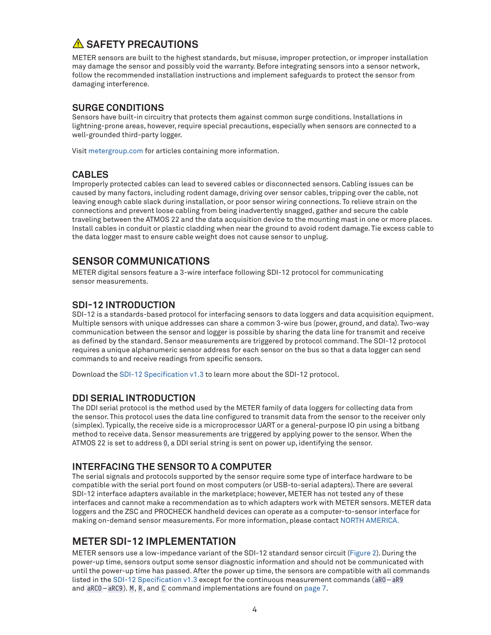# **SAFETY PRECAUTIONS**

METER sensors are built to the highest standards, but misuse, improper protection, or improper installation may damage the sensor and possibly void the warranty. Before integrating sensors into a sensor network, follow the recommended installation instructions and implement safeguards to protect the sensor from damaging interference.

## **SURGE CONDITIONS**

Sensors have built-in circuitry that protects them against common surge conditions. Installations in lightning-prone areas, however, require special precautions, especially when sensors are connected to a well-grounded third-party logger.

Visit [metergroup.com](https://www.metergroup.com) for articles containing more information.

## **CABLES**

Improperly protected cables can lead to severed cables or disconnected sensors. Cabling issues can be caused by many factors, including rodent damage, driving over sensor cables, tripping over the cable, not leaving enough cable slack during installation, or poor sensor wiring connections. To relieve strain on the connections and prevent loose cabling from being inadvertently snagged, gather and secure the cable traveling between the ATMOS 22 and the data acquisition device to the mounting mast in one or more places. Install cables in conduit or plastic cladding when near the ground to avoid rodent damage. Tie excess cable to the data logger mast to ensure cable weight does not cause sensor to unplug.

# **SENSOR COMMUNICATIONS**

METER digital sensors feature a 3-wire interface following SDI-12 protocol for communicating sensor measurements.

## **SDI-12 INTRODUCTION**

SDI-12 is a standards-based protocol for interfacing sensors to data loggers and data acquisition equipment. Multiple sensors with unique addresses can share a common 3-wire bus (power, ground, and data). Two-way communication between the sensor and logger is possible by sharing the data line for transmit and receive as defined by the standard. Sensor measurements are triggered by protocol command. The SDI-12 protocol requires a unique alphanumeric sensor address for each sensor on the bus so that a data logger can send commands to and receive readings from specific sensors.

Download the [SDI-12 Specification v1.3](https://sdi-12.org/archives_folder/SDI-12_version1_3%20January%2028,%202016.pdf) to learn more about the SDI-12 protocol.

## **DDI SERIAL INTRODUCTION**

The DDI serial protocol is the method used by the METER family of data loggers for collecting data from the sensor. This protocol uses the data line configured to transmit data from the sensor to the receiver only (simplex). Typically, the receive side is a microprocessor UART or a general-purpose IO pin using a bitbang method to receive data. Sensor measurements are triggered by applying power to the sensor. When the ATMOS 22 is set to address 0, a DDI serial string is sent on power up, identifying the sensor.

## **INTERFACING THE SENSOR TO A COMPUTER**

The serial signals and protocols supported by the sensor require some type of interface hardware to be compatible with the serial port found on most computers (or USB-to-serial adapters). There are several SDI-12 interface adapters available in the marketplace; however, METER has not tested any of these interfaces and cannot make a recommendation as to which adapters work with METER sensors. METER data loggers and the ZSC and PROCHECK handheld devices can operate as a computer-to-sensor interface for making on-demand sensor measurements. For more information, please contact [NORTH AMERICA.](#page-12-1)

## <span id="page-3-0"></span>**METER SDI-12 IMPLEMENTATION**

METER sensors use a low-impedance variant of the SDI-12 standard sensor circuit [\(Figure 2\)](#page-2-0). During the power-up time, sensors output some sensor diagnostic information and should not be communicated with until the power-up time has passed. After the power up time, the sensors are compatible with all commands listed in the [SDI-12 Specification v1.3](https://sdi-12.org/archives_folder/SDI-12_version1_3%20January%2028,%202016.pdf) except for the continuous measurement commands (aR0–aR9 and aRC0–aRC9). M, R, and C command implementations are found on [page](#page-6-0) [7.](#page-6-1)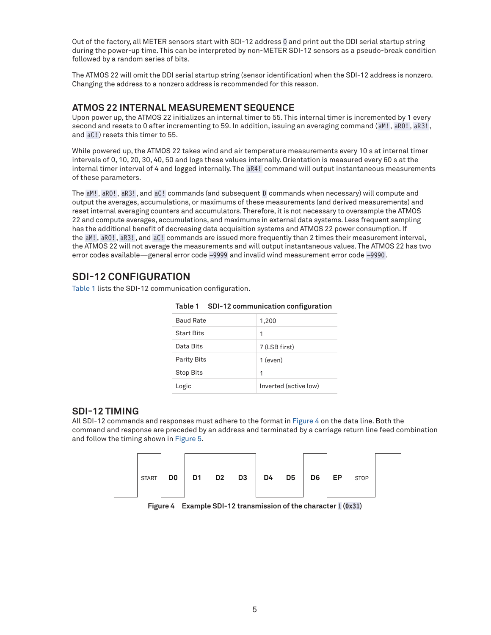Out of the factory, all METER sensors start with SDI-12 address 0 and print out the DDI serial startup string during the power-up time. This can be interpreted by non-METER SDI-12 sensors as a pseudo-break condition followed by a random series of bits.

The ATMOS 22 will omit the DDI serial startup string (sensor identification) when the SDI-12 address is nonzero. Changing the address to a nonzero address is recommended for this reason.

### <span id="page-4-2"></span>**ATMOS 22 INTERNAL MEASUREMENT SEQUENCE**

Upon power up, the ATMOS 22 initializes an internal timer to 55. This internal timer is incremented by 1 every second and resets to 0 after incrementing to 59. In addition, issuing an averaging command (aM!, aR0!, aR3! , and aC! ) resets this timer to 55.

While powered up, the ATMOS 22 takes wind and air temperature measurements every 10 s at internal timer intervals of 0, 10, 20, 30, 40, 50 and logs these values internally. Orientation is measured every 60 s at the internal timer interval of 4 and logged internally. The aR4! command will output instantaneous measurements of these parameters.

The aM!, aR0!, aR3!, and aC! commands (and subsequent D commands when necessary) will compute and output the averages, accumulations, or maximums of these measurements (and derived measurements) and reset internal averaging counters and accumulators. Therefore, it is not necessary to oversample the ATMOS 22 and compute averages, accumulations, and maximums in external data systems. Less frequent sampling has the additional benefit of decreasing data acquisition systems and ATMOS 22 power consumption. If the aM!, aR0!, aR3!, and aC! commands are issued more frequently than 2 times their measurement interval, the ATMOS 22 will not average the measurements and will output instantaneous values. The ATMOS 22 has two error codes available—general error code –9999 and invalid wind measurement error code –9990.

## **SDI-12 CONFIGURATION**

[Table 1](#page-4-0) lists the SDI-12 communication configuration.

| <b>Baud Rate</b>   | 1,200                 |
|--------------------|-----------------------|
| <b>Start Bits</b>  | 1                     |
| Data Bits          | 7 (LSB first)         |
| <b>Parity Bits</b> | $1$ (even)            |
| <b>Stop Bits</b>   | 1                     |
| Logic              | Inverted (active low) |

### <span id="page-4-0"></span>**Table 1 SDI-12 communication configuration**

### **SDI-12 TIMING**

All SDI-12 commands and responses must adhere to the format in [Figure 4](#page-4-1) on the data line. Both the command and response are preceded by an address and terminated by a carriage return line feed combination and follow the timing shown in [Figure 5.](#page-5-0)



<span id="page-4-1"></span>**Figure 4 Example SDI-12 transmission of the character** 1 **(0x31)**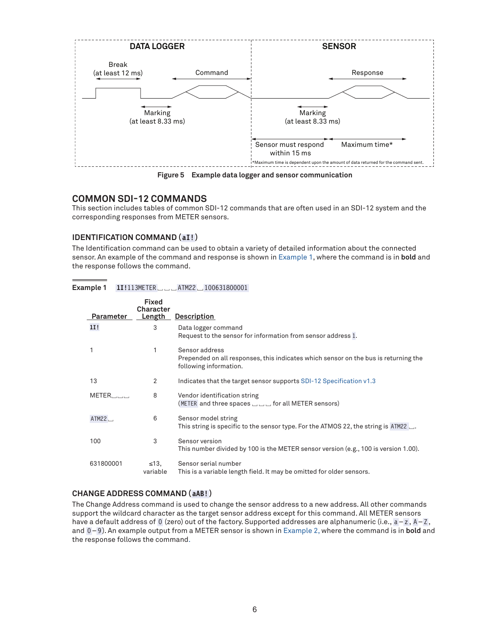

<span id="page-5-0"></span>**Figure 5 Example data logger and sensor communication**

## **COMMON SDI-12 COMMANDS**

This section includes tables of common SDI-12 commands that are often used in an SDI-12 system and the corresponding responses from METER sensors.

### **IDENTIFICATION COMMAND (aI! )**

The Identification command can be used to obtain a variety of detailed information about the connected sensor. An example of the command and response is shown in [Example 1](#page-5-1), where the command is in **bold** and the response follows the command.

| <b>Example 1</b> |  | 11!113METER $\Box$ $\Box$ ATM22 $\Box$ 100631800001 |
|------------------|--|-----------------------------------------------------|
|                  |  |                                                     |

<span id="page-5-1"></span>

| Parameter | <b>Fixed</b><br>Character<br>Length | <b>Description</b>                                                                                                              |
|-----------|-------------------------------------|---------------------------------------------------------------------------------------------------------------------------------|
| 1I!       | 3                                   | Data logger command<br>Request to the sensor for information from sensor address 1.                                             |
|           | 1                                   | Sensor address<br>Prepended on all responses, this indicates which sensor on the bus is returning the<br>following information. |
| 13        | 2                                   | Indicates that the target sensor supports SDI-12 Specification v1.3                                                             |
| METER     | 8                                   | Vendor identification string<br>(METER and three spaces $\Box$ $\Box$ for all METER sensors)                                    |
| ATM22.    | 6                                   | Sensor model string<br>This string is specific to the sensor type. For the ATMOS 22, the string is ATM22 $\Box$ .               |
| 100       | 3                                   | Sensor version<br>This number divided by 100 is the METER sensor version (e.g., 100 is version 1.00).                           |
| 631800001 | $\leq 13$<br>variable               | Sensor serial number<br>This is a variable length field. It may be omitted for older sensors.                                   |

### **CHANGE ADDRESS COMMAND (aAB!)**

The Change Address command is used to change the sensor address to a new address. All other commands support the wildcard character as the target sensor address except for this command. All METER sensors have a default address of 0 (zero) out of the factory. Supported addresses are alphanumeric (i.e., a-z, A-Z, and 0–9 ). An example output from a METER sensor is shown in [Example 2,](#page-6-2) where the command is in **bold** and the response follows the command.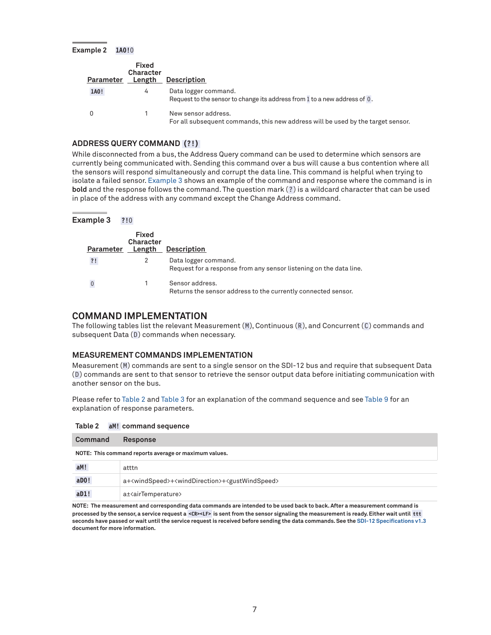<span id="page-6-0"></span>**Example 2 1A0!**0

<span id="page-6-2"></span>

| Parameter | <b>Fixed</b><br><b>Character</b><br>Length | <b>Description</b>                                                                                      |
|-----------|--------------------------------------------|---------------------------------------------------------------------------------------------------------|
| 1A0!      | 4                                          | Data logger command.<br>Request to the sensor to change its address from 1 to a new address of 0.       |
|           |                                            | New sensor address.<br>For all subsequent commands, this new address will be used by the target sensor. |

### **ADDRESS QUERY COMMAND (?!)**

While disconnected from a bus, the Address Query command can be used to determine which sensors are currently being communicated with. Sending this command over a bus will cause a bus contention where all the sensors will respond simultaneously and corrupt the data line. This command is helpful when trying to isolate a failed sensor. [Example 3](#page-6-3) shows an example of the command and response where the command is in **bold** and the response follows the command. The question mark ( ? ) is a wildcard character that can be used in place of the address with any command except the Change Address command.

| <b>Example 3</b> | ?!0 |  |  |  |
|------------------|-----|--|--|--|
|------------------|-----|--|--|--|

<span id="page-6-3"></span>

| Parameter | Fixed<br>Character<br>Length | <b>Description</b>                                                                         |
|-----------|------------------------------|--------------------------------------------------------------------------------------------|
| ?!        |                              | Data logger command.<br>Request for a response from any sensor listening on the data line. |
|           |                              | Sensor address.<br>Returns the sensor address to the currently connected sensor.           |

### **COMMAND IMPLEMENTATION**

The following tables list the relevant Measurement  $(M)$ , Continuous  $(R)$ , and Concurrent  $(C)$  commands and subsequent Data  $(D)$  commands when necessary.

#### <span id="page-6-1"></span>**MEASUREMENT COMMANDS IMPLEMENTATION**

Measurement (M) commands are sent to a single sensor on the SDI-12 bus and require that subsequent Data ( D ) commands are sent to that sensor to retrieve the sensor output data before initiating communication with another sensor on the bus.

Please refer to [Table 2](#page-6-4) and [Table 3](#page-7-0) for an explanation of the command sequence and see [Table 9](#page-9-0) for an explanation of response parameters.

<span id="page-6-4"></span>

| Table 2 |  | aM! command sequence |  |
|---------|--|----------------------|--|
|---------|--|----------------------|--|

| Command                                               | <b>Response</b>                                                                            |  |
|-------------------------------------------------------|--------------------------------------------------------------------------------------------|--|
| NOTE: This command reports average or maximum values. |                                                                                            |  |
| aM!                                                   | atttn                                                                                      |  |
| $a$ DO!                                               | a+ <windspeed>+<winddirection>+<gustwindspeed></gustwindspeed></winddirection></windspeed> |  |
| aD1!                                                  | a± <airtemperature></airtemperature>                                                       |  |

**NOTE: The measurement and corresponding data commands are intended to be used back to back. After a measurement command is processed by the sensor, a service request a <CR><LF> is sent from the sensor signaling the measurement is ready. Either wait until ttt seconds have passed or wait until the service request is received before sending the data commands. See the [SDI-12 Specifications v1.3](https://sdi-12.org/archives_folder/SDI-12_version1_3%20January%2028,%202016.pdf) document for more information.**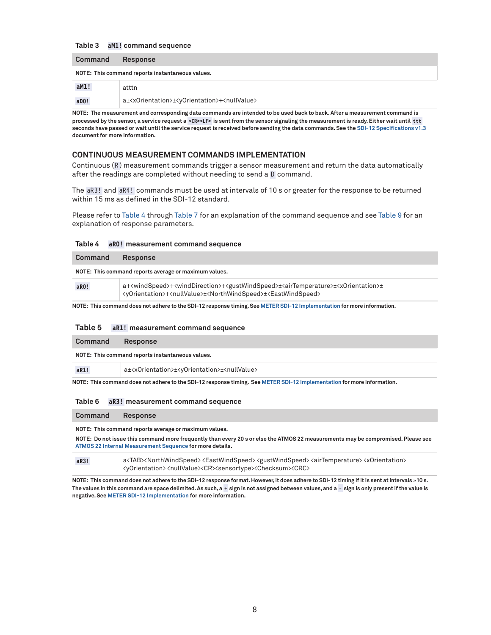#### <span id="page-7-0"></span>**Table 3 aM1! command sequence**

#### **Command Response**

**NOTE: This command reports instantaneous values.**

| aM1! | atttn                                                                                  |
|------|----------------------------------------------------------------------------------------|
| aDO! | a± <xorientation>±<yorientation>+<nullvalue></nullvalue></yorientation></xorientation> |

**NOTE: The measurement and corresponding data commands are intended to be used back to back. After a measurement command is processed by the sensor, a service request a <CR><LF> is sent from the sensor signaling the measurement is ready. Either wait until ttt seconds have passed or wait until the service request is received before sending the data commands. See the [SDI-12 Specifications v1.3](https://sdi-12.org/archives_folder/SDI-12_version1_3%20January%2028,%202016.pdf) document for more information.**

#### **CONTINUOUS MEASUREMENT COMMANDS IMPLEMENTATION**

Continuous (R) measurement commands trigger a sensor measurement and return the data automatically after the readings are completed without needing to send a D command.

The aR3! and aR4! commands must be used at intervals of 10 s or greater for the response to be returned within 15 ms as defined in the SDI-12 standard.

Please refer to [Table 4](#page-7-1) through [Table 7](#page-8-0) for an explanation of the command sequence and see [Table 9](#page-9-0) for an explanation of response parameters.

#### <span id="page-7-1"></span>**Table 4 aR0! measurement command sequence**

| Command | <b>Response</b>                                                                                                                                                                                                                                                                         |  |
|---------|-----------------------------------------------------------------------------------------------------------------------------------------------------------------------------------------------------------------------------------------------------------------------------------------|--|
|         | NOTE: This command reports average or maximum values.                                                                                                                                                                                                                                   |  |
| aRO!    | a+ <windspeed>+<winddirection>+<gustwindspeed>±<airtemperature>±<xorientation>±<br/><vorientation>+<nullvalue>±<northwindspeed>±<eastwindspeed></eastwindspeed></northwindspeed></nullvalue></vorientation></xorientation></airtemperature></gustwindspeed></winddirection></windspeed> |  |

**NOTE: This command does not adhere to the SDI-12 response timing. See [METER SDI-12 Implementation](#page-3-0) for more information.**

#### **Table 5 aR1! measurement command sequence**

| Command                                          | <b>Response</b>                                                                        |  |
|--------------------------------------------------|----------------------------------------------------------------------------------------|--|
| NOTE: This command reports instantaneous values. |                                                                                        |  |
| aR1!                                             | a± <xorientation>±<yorientation>±<nullvalue></nullvalue></yorientation></xorientation> |  |

**NOTE: This command does not adhere to the SDI-12 response timing. See [METER SDI-12 Implementation](#page-3-0) for more information.**

#### **Table 6 aR3! measurement command sequence**

#### **Command Response**

**NOTE: This command reports average or maximum values.**

**NOTE: Do not issue this command more frequently than every 20 s or else the ATMOS 22 measurements may be compromised. Please see [ATMOS 22 Internal Measurement Sequence](#page-4-2) for more details.**

| aR3! | a <tab><northwindspeed><eastwindspeed><gustwindspeed><airtemperature>&lt;<or>&lt;&gt;&gt;&lt;&gt;&gt;&gt;&gt;&gt;</or></airtemperature></gustwindspeed></eastwindspeed></northwindspeed></tab> |
|------|------------------------------------------------------------------------------------------------------------------------------------------------------------------------------------------------|
|      | <yorientation><nullvalue><cr><sensortype><checksum><crc></crc></checksum></sensortype></cr></nullvalue></yorientation>                                                                         |

**NOTE: This command does not adhere to the SDI-12 response format. However, it does adhere to SDI-12 timing if it is sent at intervals** ≥**10 s. The values in this command are space delimited. As such, a** + **sign is not assigned between values, and a** - **sign is only present if the value is negative. See [METER SDI-12 Implementation](#page-3-0) for more information.**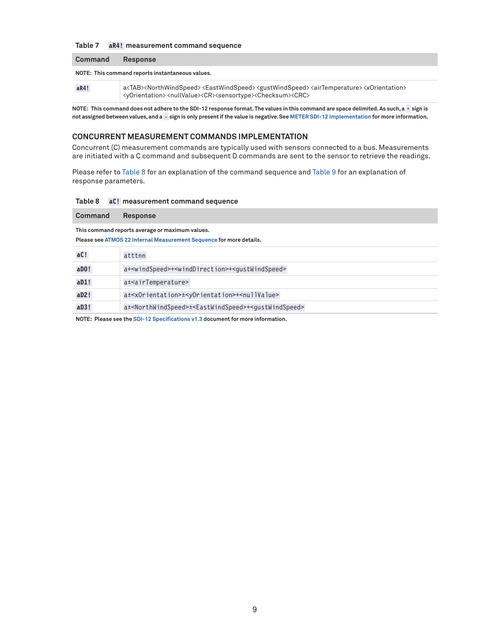### <span id="page-8-0"></span>**Table 7 aR4! measurement command sequence**

**Command Response**

#### **NOTE: This command reports instantaneous values.**

aR4! a<TAB><NorthWindSpeed> <EastWindSpeed> <gustWindSpeed> <airTemperature> <xOrientation> <yOrientation><nullValue><CR><sensortype><Checksum><CRC>

**NOTE: This command does not adhere to the SDI-12 response format. The values in this command are space delimited. As such, a** + **sign is not assigned between values, and a** - **sign is only present if the value is negative. See [METER SDI-12 Implementation](#page-3-0) for more information.**

### **CONCURRENT MEASUREMENT COMMANDS IMPLEMENTATION**

Concurrent (C) measurement commands are typically used with sensors connected to a bus. Measurements are initiated with a C command and subsequent D commands are sent to the sensor to retrieve the readings.

Please refer to [Table 8](#page-8-1) for an explanation of the command sequence and [Table 9](#page-9-0) for an explanation of response parameters.

#### <span id="page-8-1"></span>**Table 8 aC! measurement command sequence**

| Command                                                                                                                | <b>Response</b>                                                                            |  |  |
|------------------------------------------------------------------------------------------------------------------------|--------------------------------------------------------------------------------------------|--|--|
| This command reports average or maximum values.<br>Please see ATMOS 22 Internal Measurement Sequence for more details. |                                                                                            |  |  |
| aC!                                                                                                                    | atttnn                                                                                     |  |  |
| $a$ DO!                                                                                                                | a+ <windspeed>+<winddirection>+<gustwindspeed></gustwindspeed></winddirection></windspeed> |  |  |
| aD1!                                                                                                                   | a± <airtemperature></airtemperature>                                                       |  |  |
| aD2!                                                                                                                   | a± <x0rientation>±<y0rientation>+<nullvalue></nullvalue></y0rientation></x0rientation>     |  |  |

**NOTE: Please see the [SDI-12 Specifications v1.3](https://sdi-12.org/archives_folder/SDI-12_version1_3%20January%2028,%202016.pdf) document for more information.**

aD3! a<sup>±<NorthWindSpeed> $\pm$ <EastWindSpeed>+<gustWindSpeed></sup>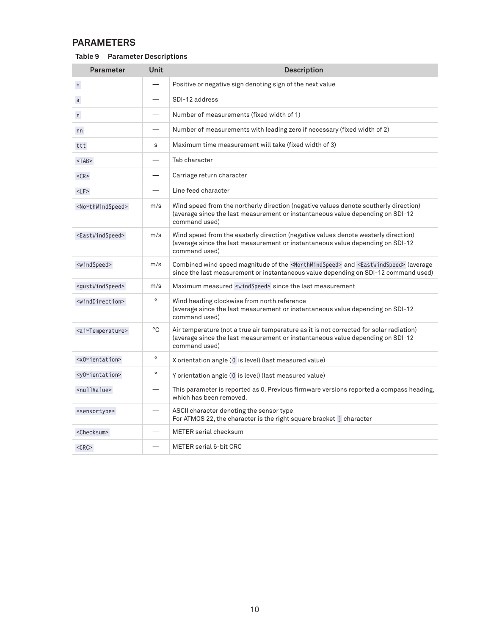## **PARAMETERS**

<span id="page-9-0"></span>

| Table 9 | <b>Parameter Descriptions</b> |
|---------|-------------------------------|
|---------|-------------------------------|

| <b>Parameter</b>                  | <b>Unit</b> | <b>Description</b>                                                                                                                                                                                          |  |
|-----------------------------------|-------------|-------------------------------------------------------------------------------------------------------------------------------------------------------------------------------------------------------------|--|
| $\pm$                             |             | Positive or negative sign denoting sign of the next value                                                                                                                                                   |  |
| $\mathsf{a}$                      |             | SDI-12 address                                                                                                                                                                                              |  |
| n                                 |             | Number of measurements (fixed width of 1)                                                                                                                                                                   |  |
| nn                                |             | Number of measurements with leading zero if necessary (fixed width of 2)                                                                                                                                    |  |
| ttt                               | s           | Maximum time measurement will take (fixed width of 3)                                                                                                                                                       |  |
| $<$ TAB $>$                       |             | Tab character                                                                                                                                                                                               |  |
| $<$ CR $>$                        |             | Carriage return character                                                                                                                                                                                   |  |
| $<$ LF $>$                        |             | Line feed character                                                                                                                                                                                         |  |
| <northwindspeed></northwindspeed> | m/s         | Wind speed from the northerly direction (negative values denote southerly direction)<br>(average since the last measurement or instantaneous value depending on SDI-12<br>command used)                     |  |
| <eastwindspeed></eastwindspeed>   | m/s         | Wind speed from the easterly direction (negative values denote westerly direction)<br>(average since the last measurement or instantaneous value depending on SDI-12<br>command used)                       |  |
| <windspeed></windspeed>           | m/s         | Combined wind speed magnitude of the <northwindspeed> and <eastwindspeed> (average<br/>since the last measurement or instantaneous value depending on SDI-12 command used)</eastwindspeed></northwindspeed> |  |
| <gustwindspeed></gustwindspeed>   | m/s         | Maximum measured <windspeed> since the last measurement</windspeed>                                                                                                                                         |  |
| <winddirection></winddirection>   | $\circ$     | Wind heading clockwise from north reference<br>(average since the last measurement or instantaneous value depending on SDI-12<br>command used)                                                              |  |
| <airtemperature></airtemperature> | °C          | Air temperature (not a true air temperature as it is not corrected for solar radiation)<br>(average since the last measurement or instantaneous value depending on SDI-12<br>command used)                  |  |
| <xorientation></xorientation>     | $\circ$     | X orientation angle (0 is level) (last measured value)                                                                                                                                                      |  |
| <yorientation></yorientation>     | $\circ$     | Y orientation angle (0 is level) (last measured value)                                                                                                                                                      |  |
| <nullvalue></nullvalue>           |             | This parameter is reported as 0. Previous firmware versions reported a compass heading,<br>which has been removed.                                                                                          |  |
| <sensortype></sensortype>         |             | ASCII character denoting the sensor type<br>For ATMOS 22, the character is the right square bracket ] character                                                                                             |  |
| <checksum></checksum>             |             | <b>METER</b> serial checksum                                                                                                                                                                                |  |
| $<$ CRC $>$                       |             | <b>METER serial 6-bit CRC</b>                                                                                                                                                                               |  |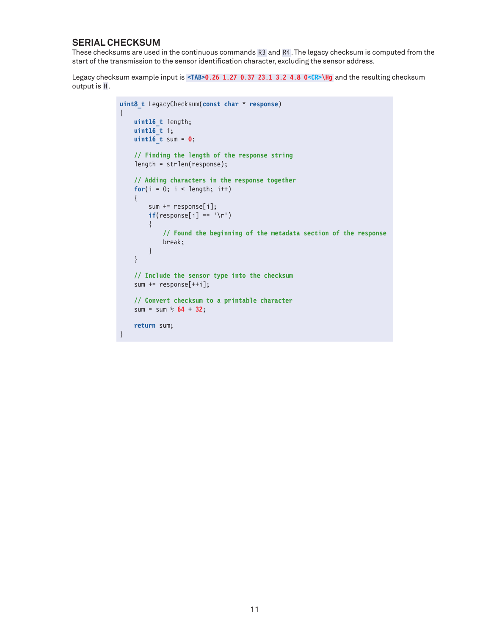## **SERIAL CHECKSUM**

These checksums are used in the continuous commands R3 and R4 . The legacy checksum is computed from the start of the transmission to the sensor identification character, excluding the sensor address.

Legacy checksum example input is <TAB>0.26 1.27 0.37 23.1 3.2 4.8 0<CR>\Hg and the resulting checksum output is H.

```
uint8_t LegacyChecksum(const char * response)
{ 
    uint16_t length;
    uint16_t i;
    uint16_t sum = 0;
     // Finding the length of the response string
     length = strlen(response);
     // Adding characters in the response together
    for(i = 0; i < length; i++) {
         sum += response[i];
        if(responsible[i] == '\r') {
             // Found the beginning of the metadata section of the response
             break;
         }
     }
     // Include the sensor type into the checksum
     sum += response[++i];
     // Convert checksum to a printable character
     sum = sum % 64 + 32;
     return sum;
}
```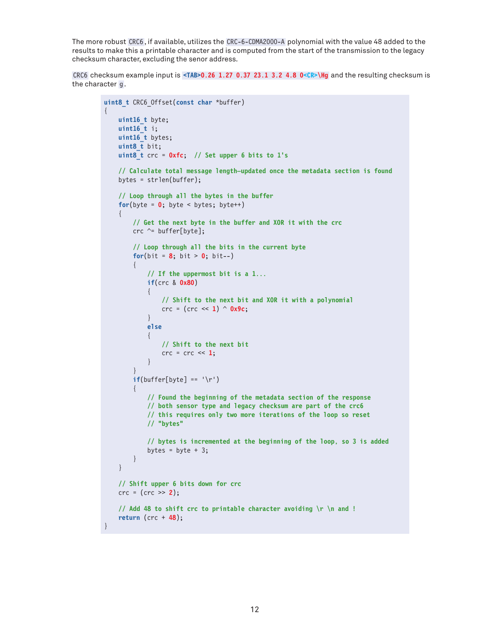The more robust CRC6 , if available, utilizes the CRC-6-CDMA2000-A polynomial with the value 48 added to the results to make this a printable character and is computed from the start of the transmission to the legacy checksum character, excluding the senor address.

CRC6 checksum example input is **<TAB>0.26 1.27 0.37 23.1 3.2 4.8 0<CR>\Hg** and the resulting checksum is the character g.

{

}

```
uint8_t CRC6_Offset(const char *buffer)
       uint16_t byte;
       uint16_t i;
       uint16_t bytes;
      uint8 t bit;
       uint8_t crc = 0xfc; // Set upper 6 bits to 1's
       // Calculate total message length—updated once the metadata section is found
       bytes = strlen(buffer);
       // Loop through all the bytes in the buffer
      for(byte = \mathbf{0}; byte < bytes; byte++)
\left\{\begin{array}{c} \end{array}\right. // Get the next byte in the buffer and XOR it with the crc
             crc ^= buffer[byte];
             // Loop through all the bits in the current byte
            for(bit = 8; bit > 0; bit--)
\left\{ \begin{array}{c} \mathbf{1} & \mathbf{1} & \mathbf{1} & \mathbf{1} \\ \mathbf{1} & \mathbf{1} & \mathbf{1} & \mathbf{1} \\ \mathbf{1} & \mathbf{1} & \mathbf{1} & \mathbf{1} \\ \mathbf{1} & \mathbf{1} & \mathbf{1} & \mathbf{1} \\ \mathbf{1} & \mathbf{1} & \mathbf{1} & \mathbf{1} \\ \mathbf{1} & \mathbf{1} & \mathbf{1} & \mathbf{1} \\ \mathbf{1} & \mathbf{1} & \mathbf{1} & \mathbf{1} \\ \mathbf{1} & \mathbf{1} // If the uppermost bit is a 1...
                    if(crc & 0x80)
{ } } } } } } { } } } } { } } } } { } } } } { } } } } { } } } } { } } } } { } } } } { } } } } { } } } } { } } } } { } } } } { } } } } { } } } } { } } } } { } } } } { } } } } { } } } } { } } } } { } } } } { } } } } { } } } 
                          // Shift to the next bit and XOR it with a polynomial
                          crc = (crc << 1) ^ 0x9c;
 }
                    else
\{ // Shift to the next bit
                         \text{crc} = \text{crc} \ll 1;
 }
 }
            if(buffer[byte] == '\r')\left\{ \begin{array}{c} \end{array} \right. // Found the beginning of the metadata section of the response
                    // both sensor type and legacy checksum are part of the crc6
                    // this requires only two more iterations of the loop so reset
                    // "bytes"
                    // bytes is incremented at the beginning of the loop, so 3 is added
                   bytes = byte + 3;
             }
       }
       // Shift upper 6 bits down for crc
       crc = (crc >> 2);
       // Add 48 to shift crc to printable character avoiding \r \n and !
       return (crc + 48);
```